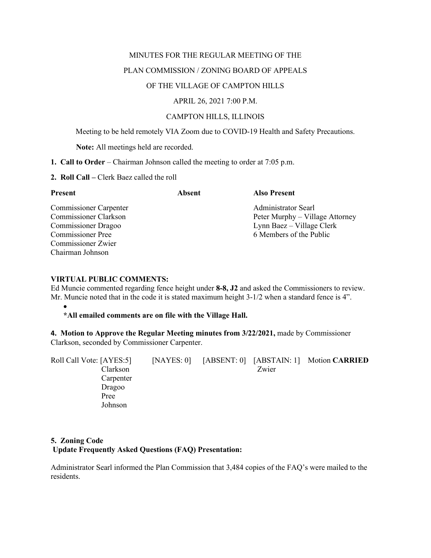## MINUTES FOR THE REGULAR MEETING OF THE

# PLAN COMMISSION / ZONING BOARD OF APPEALS

# OF THE VILLAGE OF CAMPTON HILLS

## APRIL 26, 2021 7:00 P.M.

# CAMPTON HILLS, ILLINOIS

Meeting to be held remotely VIA Zoom due to COVID-19 Health and Safety Precautions.

**Note:** All meetings held are recorded.

- **1. Call to Order** Chairman Johnson called the meeting to order at 7:05 p.m.
- **2. Roll Call –** Clerk Baez called the roll

| <b>Present</b>                | Absent | <b>Also Present</b>             |  |  |
|-------------------------------|--------|---------------------------------|--|--|
| <b>Commissioner Carpenter</b> |        | Administrator Searl             |  |  |
| <b>Commissioner Clarkson</b>  |        | Peter Murphy – Village Attorney |  |  |
| <b>Commissioner Dragoo</b>    |        | Lynn Baez – Village Clerk       |  |  |
| <b>Commissioner Pree</b>      |        | 6 Members of the Public         |  |  |
| Commissioner Zwier            |        |                                 |  |  |
| Chairman Johnson              |        |                                 |  |  |

# **VIRTUAL PUBLIC COMMENTS:**

Ed Muncie commented regarding fence height under **8-8, J2** and asked the Commissioners to review. Mr. Muncie noted that in the code it is stated maximum height 3-1/2 when a standard fence is 4".

#### • **\*All emailed comments are on file with the Village Hall.**

**4. Motion to Approve the Regular Meeting minutes from 3/22/2021,** made by Commissioner Clarkson, seconded by Commissioner Carpenter.

| Roll Call Vote: [AYES:5] | [NAYES: 0] | [ABSENT: 0] [ABSTAIN: 1] | <b>Motion CARRIED</b> |
|--------------------------|------------|--------------------------|-----------------------|
| Clarkson                 |            | Zwier                    |                       |
| Carpenter                |            |                          |                       |
| Dragoo                   |            |                          |                       |
| Pree                     |            |                          |                       |
| Johnson                  |            |                          |                       |

# **5. Zoning Code Update Frequently Asked Questions (FAQ) Presentation:**

Administrator Searl informed the Plan Commission that 3,484 copies of the FAQ's were mailed to the residents.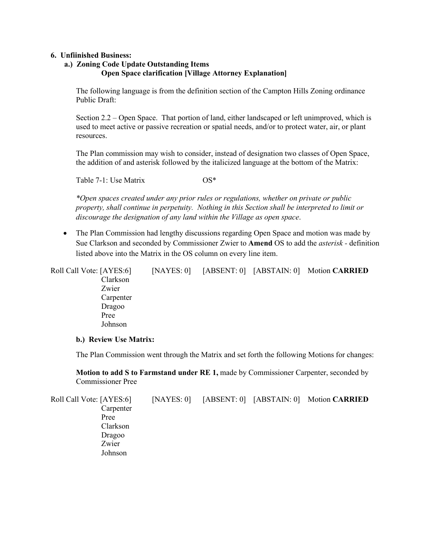## **6. Unfiinished Business:**

# **a.) Zoning Code Update Outstanding Items Open Space clarification [Village Attorney Explanation]**

The following language is from the definition section of the Campton Hills Zoning ordinance Public Draft:

Section 2.2 – Open Space. That portion of land, either landscaped or left unimproved, which is used to meet active or passive recreation or spatial needs, and/or to protect water, air, or plant resources.

The Plan commission may wish to consider, instead of designation two classes of Open Space, the addition of and asterisk followed by the italicized language at the bottom of the Matrix:

Table 7-1: Use Matrix  $OS^*$ 

*\*Open spaces created under any prior rules or regulations, whether on private or public property, shall continue in perpetuity. Nothing in this Section shall be interpreted to limit or discourage the designation of any land within the Village as open space*.

• The Plan Commission had lengthy discussions regarding Open Space and motion was made by Sue Clarkson and seconded by Commissioner Zwier to **Amend** OS to add the *asterisk -* definition listed above into the Matrix in the OS column on every line item.

| Roll Call Vote: [AYES:6] | [NAYES: 0] |  | [ABSENT: 0] [ABSTAIN: 0] Motion CARRIED |
|--------------------------|------------|--|-----------------------------------------|
| Clarkson                 |            |  |                                         |
| Zwier                    |            |  |                                         |
| Carpenter                |            |  |                                         |
| Dragoo                   |            |  |                                         |
| Pree                     |            |  |                                         |
| Johnson                  |            |  |                                         |
|                          |            |  |                                         |

## **b.) Review Use Matrix:**

The Plan Commission went through the Matrix and set forth the following Motions for changes:

**Motion to add S to Farmstand under RE 1,** made by Commissioner Carpenter, seconded by Commissioner Pree

Roll Call Vote: [AYES:6] [NAYES: 0] [ABSENT: 0] [ABSTAIN: 0] Motion **CARRIED** Carpenter Pree Clarkson Dragoo Zwier Johnson